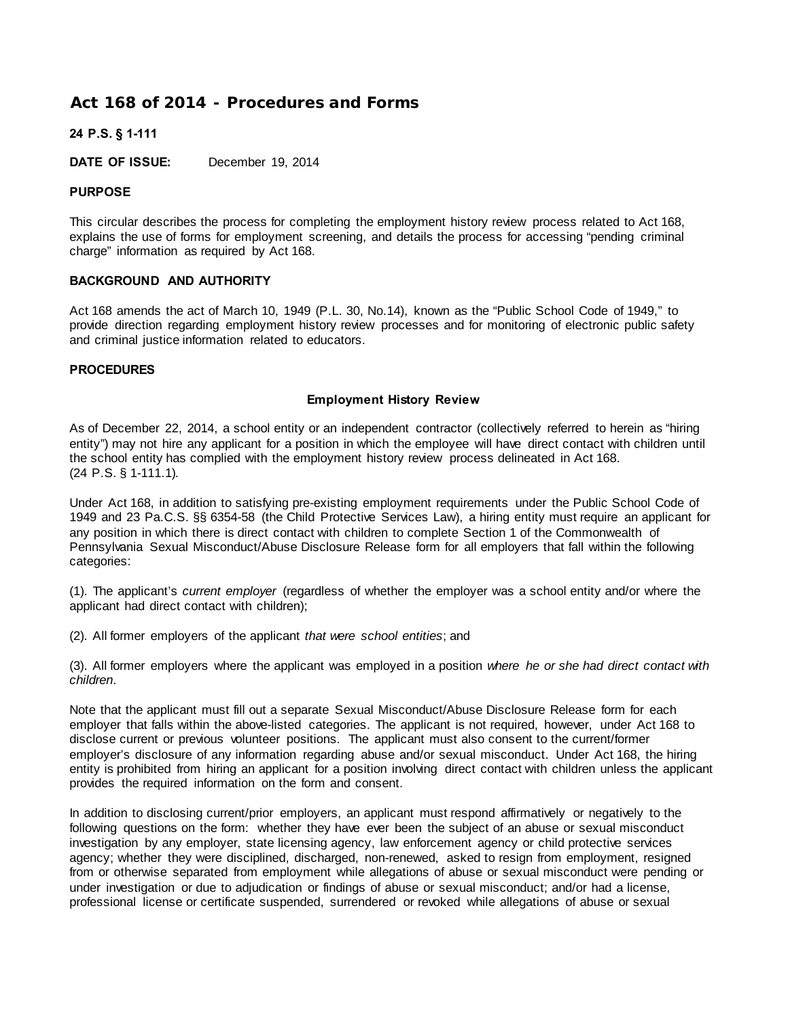# **[A](http://www.pde.state.pa.us/pspc/cwp/view.asp?a=3&q=113578&pspcNav=|6562|&pspcNav=|&pp=12&n=1#navskip#navskip)ct 168 of 2014 - Procedures and Forms**

## **24 P.S. § 1-111**

**DATE OF ISSUE:** December 19, 2014

# **PURPOSE**

This circular describes the process for completing the employment history review process related to Act 168, explains the use of forms for employment screening, and details the process for accessing "pending criminal charge" information as required by Act 168.

## **BACKGROUND AND AUTHORITY**

Act 168 amends the act of March 10, 1949 (P.L. 30, No.14), known as the "Public School Code of 1949," to provide direction regarding employment history review processes and for monitoring of electronic public safety and criminal justice information related to educators.

## **PROCEDURES**

## **Employment History Review**

As of December 22, 2014, a school entity or an independent contractor (collectively referred to herein as "hiring entity") may not hire any applicant for a position in which the employee will have direct contact with children until the school entity has complied with the employment history review process delineated in Act 168. (24 P.S. § 1-111.1)*.*

Under Act 168, in addition to satisfying pre-existing employment requirements under the Public School Code of 1949 and 23 Pa.C.S. §§ 6354-58 (the Child Protective Services Law), a hiring entity must require an applicant for any position in which there is direct contact with children to complete Section 1 of the Commonwealth of Pennsylvania Sexual Misconduct/Abuse Disclosure Release form for all employers that fall within the following categories:

(1). The applicant's *current employer* (regardless of whether the employer was a school entity and/or where the applicant had direct contact with children);

(2). All former employers of the applicant *that were school entities*; and

(3). All former employers where the applicant was employed in a position *where he or she had direct contact with children*.

Note that the applicant must fill out a separate Sexual Misconduct/Abuse Disclosure Release form for each employer that falls within the above-listed categories. The applicant is not required, however, under Act 168 to disclose current or previous volunteer positions. The applicant must also consent to the current/former employer's disclosure of any information regarding abuse and/or sexual misconduct. Under Act 168, the hiring entity is prohibited from hiring an applicant for a position involving direct contact with children unless the applicant provides the required information on the form and consent.

In addition to disclosing current/prior employers, an applicant must respond affirmatively or negatively to the following questions on the form: whether they have ever been the subject of an abuse or sexual misconduct investigation by any employer, state licensing agency, law enforcement agency or child protective services agency; whether they were disciplined, discharged, non-renewed, asked to resign from employment, resigned from or otherwise separated from employment while allegations of abuse or sexual misconduct were pending or under investigation or due to adjudication or findings of abuse or sexual misconduct; and/or had a license, professional license or certificate suspended, surrendered or revoked while allegations of abuse or sexual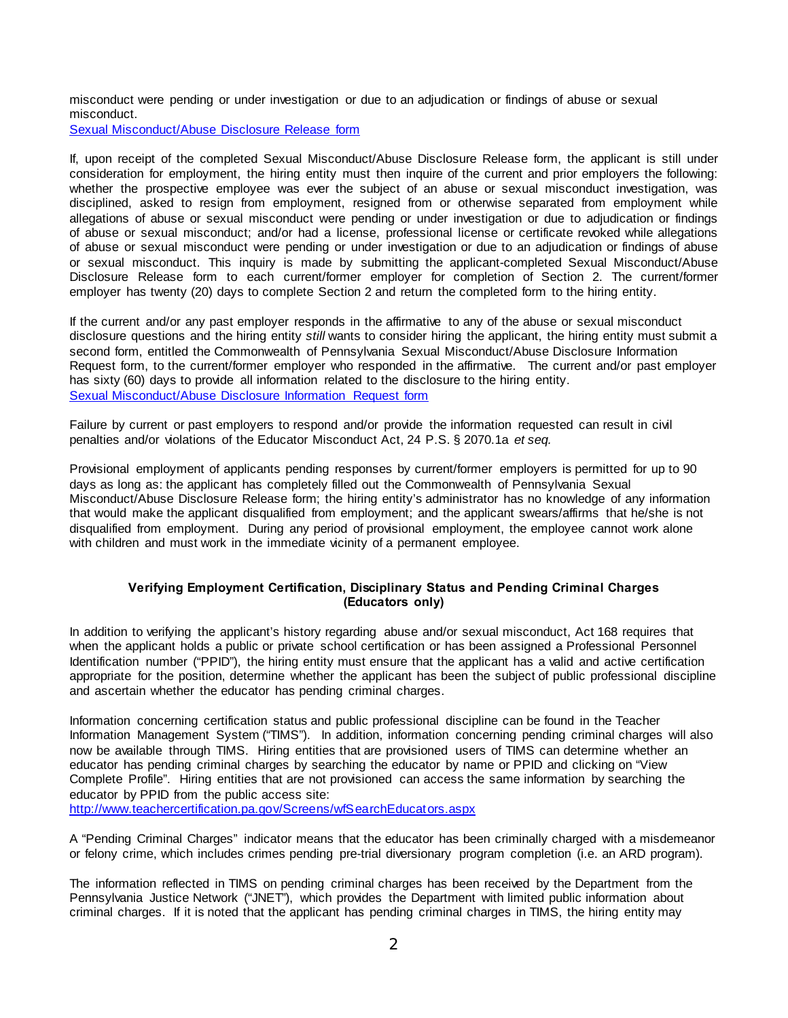misconduct were pending or under investigation or due to an adjudication or findings of abuse or sexual misconduct.

[Sexual Misconduct/Abuse Disclosure Release form](http://www.education.pa.gov/Documents/Codes%20and%20Regulations/Basic%20Education%20Circulars/Purdons%20Statutes/Act%20168%20-%20Attachment%20-%20Commonwealth%20of%20Pennsylvania%27s%20Sexual%20Misconduct-Abuse%20Disclosure%20Release.pdf)

If, upon receipt of the completed Sexual Misconduct/Abuse Disclosure Release form, the applicant is still under consideration for employment, the hiring entity must then inquire of the current and prior employers the following: whether the prospective employee was ever the subject of an abuse or sexual misconduct investigation, was disciplined, asked to resign from employment, resigned from or otherwise separated from employment while allegations of abuse or sexual misconduct were pending or under investigation or due to adjudication or findings of abuse or sexual misconduct; and/or had a license, professional license or certificate revoked while allegations of abuse or sexual misconduct were pending or under investigation or due to an adjudication or findings of abuse or sexual misconduct. This inquiry is made by submitting the applicant-completed Sexual Misconduct/Abuse Disclosure Release form to each current/former employer for completion of Section 2. The current/former employer has twenty (20) days to complete Section 2 and return the completed form to the hiring entity.

If the current and/or any past employer responds in the affirmative to any of the abuse or sexual misconduct disclosure questions and the hiring entity *still* wants to consider hiring the applicant, the hiring entity must submit a second form, entitled the Commonwealth of Pennsylvania Sexual Misconduct/Abuse Disclosure Information Request form, to the current/former employer who responded in the affirmative. The current and/or past employer has sixty (60) days to provide all information related to the disclosure to the hiring entity. [Sexual Misconduct/Abuse Disclosure Information Request form](http://www.education.pa.gov/Documents/Codes%20and%20Regulations/Basic%20Education%20Circulars/Purdons%20Statutes/Act%20168%20-%20Attachment%20-%20Commonwealth%20of%20Pennsylvania%20Sexual%20Misconduct-Abuse%20Disclosure%20Information%20Request.pdf) 

Failure by current or past employers to respond and/or provide the information requested can result in civil penalties and/or violations of the Educator Misconduct Act, 24 P.S. § 2070.1a *et seq.*

Provisional employment of applicants pending responses by current/former employers is permitted for up to 90 days as long as: the applicant has completely filled out the Commonwealth of Pennsylvania Sexual Misconduct/Abuse Disclosure Release form; the hiring entity's administrator has no knowledge of any information that would make the applicant disqualified from employment; and the applicant swears/affirms that he/she is not disqualified from employment. During any period of provisional employment, the employee cannot work alone with children and must work in the immediate vicinity of a permanent employee.

## **Verifying Employment Certification, Disciplinary Status and Pending Criminal Charges (Educators only)**

In addition to verifying the applicant's history regarding abuse and/or sexual misconduct, Act 168 requires that when the applicant holds a public or private school certification or has been assigned a Professional Personnel Identification number ("PPID"), the hiring entity must ensure that the applicant has a valid and active certification appropriate for the position, determine whether the applicant has been the subject of public professional discipline and ascertain whether the educator has pending criminal charges.

Information concerning certification status and public professional discipline can be found in the Teacher Information Management System ("TIMS"). In addition, information concerning pending criminal charges will also now be available through TIMS. Hiring entities that are provisioned users of TIMS can determine whether an educator has pending criminal charges by searching the educator by name or PPID and clicking on "View Complete Profile". Hiring entities that are not provisioned can access the same information by searching the educator by PPID from the public access site:

http://www.teachercertification.pa.gov/Screens/wfSearchEducators.aspx

A "Pending Criminal Charges" indicator means that the educator has been criminally charged with a misdemeanor or felony crime, which includes crimes pending pre-trial diversionary program completion (i.e. an ARD program).

The information reflected in TIMS on pending criminal charges has been received by the Department from the Pennsylvania Justice Network ("JNET"), which provides the Department with limited public information about criminal charges. If it is noted that the applicant has pending criminal charges in TIMS, the hiring entity may